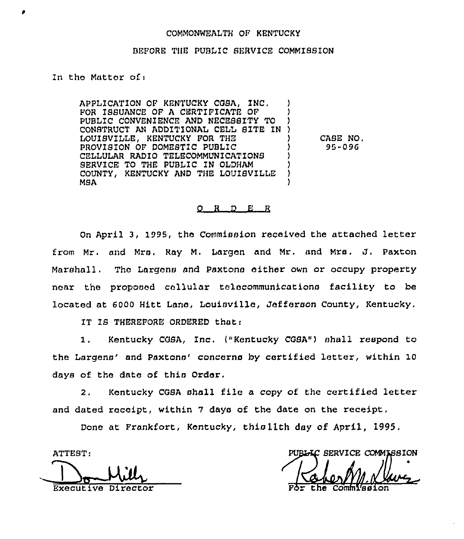## COMMONWEALTH OF KENTUCKY

## BEFORE THE PUBLIC SERVICE COMMISSION

In the Matter ofi

APPLICATION OF KENTUCKY CGSA, INC. FOR ISSUANCE OF A CERTIFICATE OF PUBLIC CONVENIENCE AND NECESSITY TO CONSTRUCT AN ADDITIONAL CELL BITE IN ) LOUISVILLE, KENTUCKY FOR THE PROVISION OF DOMESTIC PUBLIC CELLULAR RADIO TELECOMMUNICATIONS SERVICE TO THE PUBLIC IN OLDHAM COUNTY, KENTUCKY AND THE LOUISVILLE MSA MBA ) CASE NO. 95-096

## $O$  R D E R

On April 3, 1995, the Commission received the attached letter from Mr. and Mrs. Ray M. 1argan and Mr. and Mrs, J, Paxton Marshall. Tha Largans and Paxtons either own or occupy property near the proposed cellular telecommunications facility to be located at 6000 Hitt Lane, Louisville, Jefferson County, Kentucky,

IT IS THEREFORE ORDERED that:

1. Kentucky CGBA, Inc. ("Kentucky CGBA") shall respond to the Largens' and Paxtons' concerns by certified letter, within 10 days of the date of this Order,

2. Kentucky COSA shall filo a copy of the certified letter and dated receipt, within 7 days of the date on the receipt.

Done at Frankfort, Kentucky, thislith day of April, 1995,

Executive Director Far the Com

ATTEST: SERVICE COMMISSION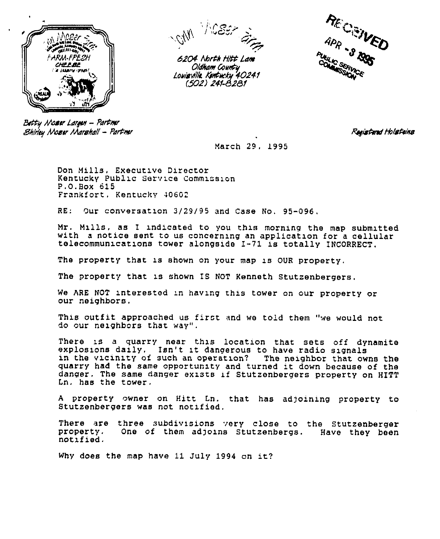



6204 North Hitt Lam Oldham Count u Louisville. Kentucku 40241 (502) 241-8281



Batty Mo**zer** Largen – Partmer  $\mathcal B$ hirley Moser Marshall – Partmır

Registered Holsteins

March 29, 1995

Don Mills, Executive Director Kentucky Public Service Commission P,O.Box 615 Frankfort, Kentucky 406G2

RE: Our conversation 3/29/95 and Case No. 95-096,

Mr. Mills, as I indicated to you this morning the map submitted with a notice sent to us concerning an application for a cellular telecommunications tower alongside I-71 is totally INCORRECT.

The property that is shown on your map is OUR property.

The property that is shown IS NOT Kenneth Stutzenbergers.

We ARE NOT interested in having this tower on our property or our neighbors,

This outfit approached us first and we told them "we would not do our nexghbors that way".

There is a quarry near this location that sets off dynamite<br>explosions daily. Isn't it dangerous to have radio signals in the vicinity of such an operation? The neighbor that owns the quarry had the same opportunity and turned it down because of the danger. The same danger exists if Stutzenbergers property on HITT Ln. has the tower.

A property owner on Hitt Ln. that has adjoining property to Stutzenbergers was not notified.

There are three subdivisions very close to the Stutzenberger<br>property. One of them adjoins Stutzenbergs. Have they been property, One of them adjoxns Stutzenbsrgs. Have they been notxfied.

Why does the map have 11 July 1994 on it?